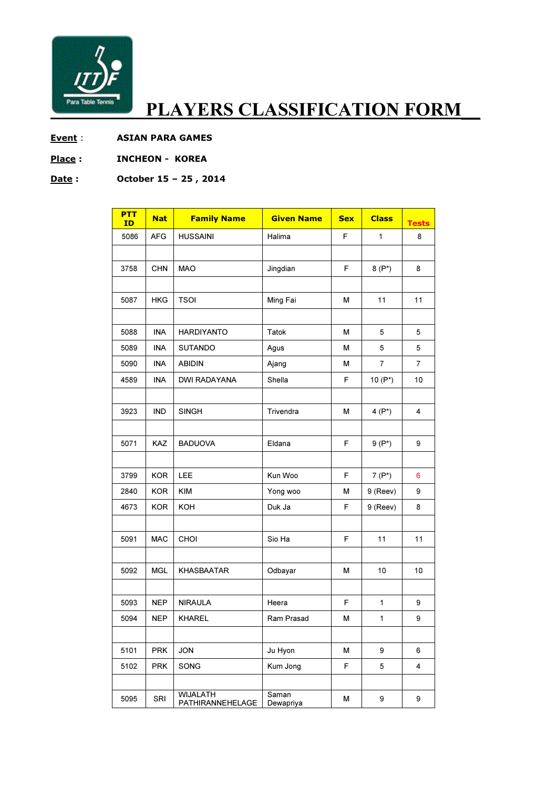

## PLAYERS CLASSIFICATION FORM\_\_

- Event : ASIAN PARA GAMES
- Place : **INCHEON KOREA**

## Date: October 15 - 25, 2014

| <b>PTT</b><br>ID | <b>Nat</b> | <b>Family Name</b>                  | <b>Given Name</b>  | <b>Sex</b> | <b>Class</b> | <b>Tests</b> |
|------------------|------------|-------------------------------------|--------------------|------------|--------------|--------------|
| 5086             | <b>AFG</b> | <b>HUSSAINI</b>                     | Halima             | F.         | $\mathbf{1}$ | 8            |
|                  |            |                                     |                    |            |              |              |
| 3758             | <b>CHN</b> | <b>MAO</b>                          | Jingdian           | F          | $8(P^*)$     | 8            |
|                  |            |                                     |                    |            |              |              |
| 5087             | <b>HKG</b> | <b>TSOI</b>                         | Ming Fai           | М          | 11           | 11           |
|                  |            |                                     |                    |            |              |              |
| 5088             | <b>INA</b> | <b>HARDIYANTO</b>                   | Tatok              | М          | 5            | 5            |
| 5089             | INA        | <b>SUTANDO</b>                      | Agus               | М          | 5            | 5            |
| 5090             | <b>INA</b> | <b>ABIDIN</b>                       | Ajang              | М          | 7            | 7            |
| 4589             | <b>INA</b> | <b>DWI RADAYANA</b>                 | Shella             | F          | 10 $(P^*)$   | 10           |
|                  |            |                                     |                    |            |              |              |
| 3923             | <b>IND</b> | <b>SINGH</b>                        | Trivendra          | М          | $4(P^*)$     | 4            |
|                  |            |                                     |                    |            |              |              |
| 5071             | <b>KAZ</b> | <b>BADUOVA</b>                      | Eldana             | F          | $9(P^*)$     | 9            |
|                  |            |                                     |                    |            |              |              |
| 3799             | <b>KOR</b> | LEE                                 | Kun Woo            | F          | $7(P^*)$     | 6            |
| 2840             | <b>KOR</b> | <b>KIM</b>                          | Yong woo           | М          | 9 (Reev)     | 9            |
| 4673             | <b>KOR</b> | KOH                                 | Duk Ja             | F          | 9 (Reev)     | 8            |
|                  |            |                                     |                    |            |              |              |
| 5091             | <b>MAC</b> | CHOI                                | Sio Ha             | F          | 11           | 11           |
|                  |            |                                     |                    |            |              |              |
| 5092             | <b>MGL</b> | <b>KHASBAATAR</b>                   | Odbayar            | М          | 10           | 10           |
|                  |            |                                     |                    |            |              |              |
| 5093             | <b>NEP</b> | <b>NIRAULA</b>                      | Heera              | F          | $\mathbf{1}$ | 9            |
| 5094             | <b>NEP</b> | <b>KHAREL</b>                       | Ram Prasad         | М          | $\mathbf{1}$ | 9            |
|                  |            |                                     |                    |            |              |              |
| 5101             | <b>PRK</b> | <b>JON</b>                          | Ju Hyon            | М          | 9            | 6            |
| 5102             | <b>PRK</b> | SONG                                | Kum Jong           | F          | 5            | 4            |
|                  |            |                                     |                    |            |              |              |
| 5095             | SRI        | <b>WIJALATH</b><br>PATHIRANNEHELAGE | Saman<br>Dewapriya | м          | 9            | 9            |